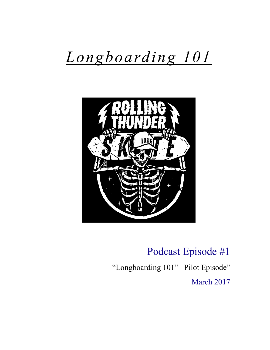# *Longboarding 101*



## Podcast Episode #1

"Longboarding 101"– Pilot Episode"

March 2017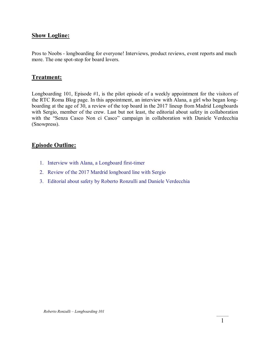#### **Show Logline:**

Pros to Noobs - longboarding for everyone! Interviews, product reviews, event reports and much more. The one spot-stop for board lovers.

#### **Treatment:**

Longboarding 101, Episode #1, is the pilot episode of a weekly appointment for the visitors of the RTC Roma Blog page. In this appointment, an interview with Alana, a girl who began longboarding at the age of 30, a review of the top board in the 2017 lineup from Madrid Longboards with Sergio, member of the crew. Last but not least, the editorial about safety in collaboration with the "Senza Casco Non ci Casco" campaign in collaboration with Daniele Verdecchia (Snowpress).

#### **Episode Outline:**

- 1. Interview with Alana, a Longboard first-timer
- 2. Review of the 2017 Mardrid longboard line with Sergio
- 3. Editorial about safety by Roberto Ronzulli and Daniele Verdecchia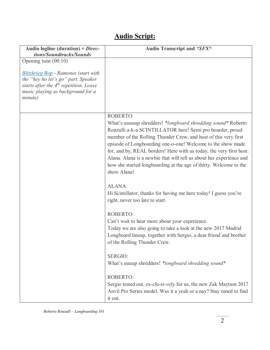### **Audio Script:**

| Audio logline (duration) + $\text{Direc-}$<br>tions/Soundtracks/Sounds                                                                                                         | Audio Transcript and *SFX*                                                                                                                                                                                                                                                                                                                                                                                                                                                                                |
|--------------------------------------------------------------------------------------------------------------------------------------------------------------------------------|-----------------------------------------------------------------------------------------------------------------------------------------------------------------------------------------------------------------------------------------------------------------------------------------------------------------------------------------------------------------------------------------------------------------------------------------------------------------------------------------------------------|
| Opening tune $(00:10)$                                                                                                                                                         |                                                                                                                                                                                                                                                                                                                                                                                                                                                                                                           |
| <b>Blitzkrieg Bop</b> - Ramones (start with<br>the "hey ho let's go" part. Speaker<br>starts after the $4th$ repetition. Leave<br>music playing as background for a<br>minute) |                                                                                                                                                                                                                                                                                                                                                                                                                                                                                                           |
|                                                                                                                                                                                | ROBERTO:<br>What's uuuuup shredders! *longboard shredding sound* Roberto<br>Ronzulli a-k-a SCINTILLATOR here! Semi pro boarder, proud<br>member of the Rolling Thunder Crew, and host of this very first<br>episode of Longboarding one-o-one! Welcome to the show made<br>for, and by, REAL borders! Here with us today, the very first host:<br>Alana. Alana is a newbie that will tell us about her experience and<br>how she started longboarding at the age of thirty. Welcome to the<br>show Alana! |
|                                                                                                                                                                                | ALANA:<br>Hi Scintillator, thanks for having me here today! I guess you're<br>right, never too late to start.                                                                                                                                                                                                                                                                                                                                                                                             |
|                                                                                                                                                                                | <b>ROBERTO:</b><br>Can't wait to hear more about your experience.<br>Today we are also going to take a look at the new 2017 Madrid<br>Longboard lineup, together with Sergio, a dear friend and brother<br>of the Rolling Thunder Crew.                                                                                                                                                                                                                                                                   |
|                                                                                                                                                                                | <b>SERGIO:</b><br>What's uuuup shredders! *longboard shredding sound*                                                                                                                                                                                                                                                                                                                                                                                                                                     |
|                                                                                                                                                                                | <b>ROBERTO:</b><br>Sergio tested out, ex-clu-si-vely for us, the new Zak Maytum 2017<br>Anvil Pro Series model. Was it a yeah or a nay? Stay tuned to find<br>it out.                                                                                                                                                                                                                                                                                                                                     |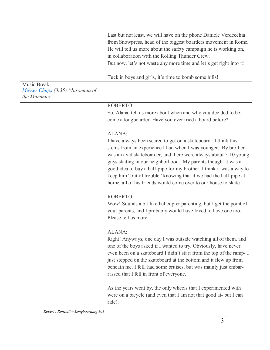|                                  | Last but not least, we will have on the phone Daniele Verdecchia     |
|----------------------------------|----------------------------------------------------------------------|
|                                  | from Snowpress, head of the biggest boarders movement in Rome.       |
|                                  | He will tell us more about the safety campaign he is working on,     |
|                                  |                                                                      |
|                                  | in collaboration with the Rolling Thunder Crew.                      |
|                                  | But now, let's not waste any more time and let's get right into it!  |
|                                  |                                                                      |
|                                  | Tuck in boys and girls, it's time to bomb some hills!                |
| Music Break                      |                                                                      |
| Messer Chups (0:35) "Insomnia of |                                                                      |
| the Mummies"                     |                                                                      |
|                                  | ROBERTO:                                                             |
|                                  | So, Alana, tell us more about when and why you decided to be-        |
|                                  | come a longboarder. Have you ever tried a board before?              |
|                                  |                                                                      |
|                                  | ALANA:                                                               |
|                                  | I have always been scared to get on a skateboard. I think this       |
|                                  | stems from an experience I had when I was younger. By brother        |
|                                  |                                                                      |
|                                  | was an avid skateboarder, and there were always about 5-10 young     |
|                                  | guys skating in our neighborhood. My parents thought it was a        |
|                                  | good idea to buy a half-pipe for my brother. I think it was a way to |
|                                  | keep him "out of trouble" knowing that if we had the half-pipe at    |
|                                  | home, all of his friends would come over to our house to skate.      |
|                                  |                                                                      |
|                                  | <b>ROBERTO:</b>                                                      |
|                                  | Wow! Sounds a bit like helicopter parenting, but I get the point of  |
|                                  | your parents, and I probably would have loved to have one too.       |
|                                  | Please tell us more.                                                 |
|                                  |                                                                      |
|                                  | ALANA:                                                               |
|                                  | Right! Anyways, one day I was outside watching all of them, and      |
|                                  |                                                                      |
|                                  | one of the boys asked if I wanted to try. Obviously, have never      |
|                                  | even been on a skateboard I didn't start from the top of the ramp- I |
|                                  | just stepped on the skateboard at the bottom and it flew up from     |
|                                  | beneath me. I fell, had some bruises, but was mainly just embar-     |
|                                  | rassed that I fell in front of everyone.                             |
|                                  |                                                                      |
|                                  | As the years went by, the only wheels that I experimented with       |
|                                  | were on a bicycle (and even that I am not that good at- but I can    |
|                                  | ride).                                                               |
|                                  |                                                                      |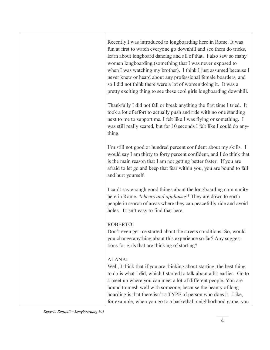| Recently I was introduced to longboarding here in Rome. It was<br>fun at first to watch everyone go downhill and see them do tricks,<br>learn about longboard dancing and all of that. I also saw so many<br>women longboarding (something that I was never exposed to<br>when I was watching my brother). I think I just assumed because I<br>never knew or heard about any professional female boarders, and<br>so I did not think there were a lot of women doing it. It was a<br>pretty exciting thing to see these cool girls longboarding downhill. |
|-----------------------------------------------------------------------------------------------------------------------------------------------------------------------------------------------------------------------------------------------------------------------------------------------------------------------------------------------------------------------------------------------------------------------------------------------------------------------------------------------------------------------------------------------------------|
| Thankfully I did not fall or break anything the first time I tried. It<br>took a lot of effort to actually push and ride with no one standing<br>next to me to support me. I felt like I was flying or something. I<br>was still really scared, but for 10 seconds I felt like I could do any-<br>thing.                                                                                                                                                                                                                                                  |
| I'm still not good or hundred percent confident about my skills. I<br>would say I am thirty to forty percent confident, and I do think that<br>is the main reason that I am not getting better faster. If you are<br>afraid to let go and keep that fear within you, you are bound to fall<br>and hurt yourself.                                                                                                                                                                                                                                          |
| I can't say enough good things about the longboarding community<br>here in Rome. *cheers and applauses* They are down to earth<br>people in search of areas where they can peacefully ride and avoid<br>holes. It isn't easy to find that here.                                                                                                                                                                                                                                                                                                           |
| <b>ROBERTO:</b><br>Don't even get me started about the streets conditions! So, would<br>you change anything about this experience so far? Any sugges-<br>tions for girls that are thinking of starting?                                                                                                                                                                                                                                                                                                                                                   |
| ALANA:<br>Well, I think that if you are thinking about starting, the best thing<br>to do is what I did, which I started to talk about a bit earlier. Go to<br>a meet up where you can meet a lot of different people. You are<br>bound to mesh well with someone, because the beauty of long-<br>boarding is that there isn't a TYPE of person who does it. Like,<br>for example, when you go to a basketball neighborhood game, you                                                                                                                      |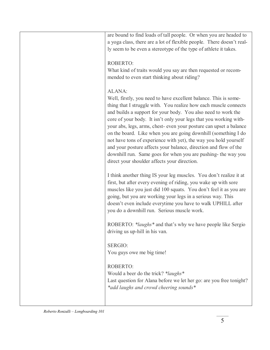| are bound to find loads of tall people. Or when you are headed to<br>a yoga class, there are a lot of flexible people. There doesn't real-<br>ly seem to be even a stereotype of the type of athlete it takes.                                                                                                                                                                                                                                                                                                                                                                                                                                                                        |
|---------------------------------------------------------------------------------------------------------------------------------------------------------------------------------------------------------------------------------------------------------------------------------------------------------------------------------------------------------------------------------------------------------------------------------------------------------------------------------------------------------------------------------------------------------------------------------------------------------------------------------------------------------------------------------------|
| <b>ROBERTO:</b><br>What kind of traits would you say are then requested or recom-<br>mended to even start thinking about riding?                                                                                                                                                                                                                                                                                                                                                                                                                                                                                                                                                      |
| ALANA:<br>Well, firstly, you need to have excellent balance. This is some-<br>thing that I struggle with. You realize how each muscle connects<br>and builds a support for your body. You also need to work the<br>core of your body. It isn't only your legs that you working with-<br>your abs, legs, arms, chest- even your posture can upset a balance<br>on the board. Like when you are going downhill (something I do<br>not have tons of experience with yet), the way you hold yourself<br>and your posture affects your balance, direction and flow of the<br>downhill run. Same goes for when you are pushing- the way you<br>direct your shoulder affects your direction. |
| I think another thing IS your leg muscles. You don't realize it at<br>first, but after every evening of riding, you wake up with sore<br>muscles like you just did 100 squats. You don't feel it as you are<br>going, but you are working your legs in a serious way. This<br>doesn't even include everytime you have to walk UPHILL after<br>you do a downhill run. Serious muscle work.                                                                                                                                                                                                                                                                                             |
| ROBERTO: * <i>laughs</i> * and that's why we have people like Sergio<br>driving us up-hill in his van.                                                                                                                                                                                                                                                                                                                                                                                                                                                                                                                                                                                |
| SERGIO:<br>You guys owe me big time!                                                                                                                                                                                                                                                                                                                                                                                                                                                                                                                                                                                                                                                  |
| <b>ROBERTO:</b><br>Would a beer do the trick? * <i>laughs</i> *<br>Last question for Alana before we let her go: are you free tonight?<br>*add laughs and crowd cheering sounds*                                                                                                                                                                                                                                                                                                                                                                                                                                                                                                      |
|                                                                                                                                                                                                                                                                                                                                                                                                                                                                                                                                                                                                                                                                                       |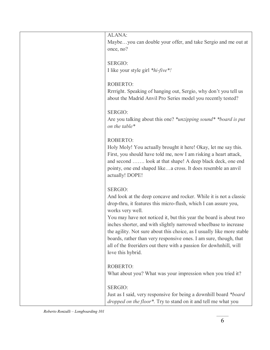| ALANA:<br>Maybeyou can double your offer, and take Sergio and me out at                                                                                    |
|------------------------------------------------------------------------------------------------------------------------------------------------------------|
| once, no?                                                                                                                                                  |
| <b>SERGIO:</b>                                                                                                                                             |
| I like your style girl *hi-five*!                                                                                                                          |
| <b>ROBERTO:</b>                                                                                                                                            |
| Rrrright. Speaking of hanging out, Sergio, why don't you tell us<br>about the Madrid Anvil Pro Series model you recently tested?                           |
| SERGIO:                                                                                                                                                    |
| Are you talking about this one? * <i>unzipping sound</i> * * <i>board is put</i><br>on the table*                                                          |
| <b>ROBERTO:</b>                                                                                                                                            |
| Holy Moly! You actually brought it here! Okay, let me say this.                                                                                            |
| First, you should have told me, now I am risking a heart attack,                                                                                           |
| and second  look at that shape! A deep black deck, one end<br>pointy, one end shaped likea cross. It does resemble an anvil                                |
| actually! DOPE!                                                                                                                                            |
| <b>SERGIO:</b>                                                                                                                                             |
| And look at the deep concave and rocker. While it is not a classic<br>drop-thru, it features this micro-flush, which I can assure you,<br>works very well. |
| You may have not noticed it, but this year the board is about two                                                                                          |
| inches shorter, and with slightly narrowed wheelbase to increase                                                                                           |
| the agility. Not sure about this choice, as I usually like more stable<br>boards, rather than very responsive ones. I am sure, though, that                |
| all of the freeriders out there with a passion for downhhill, will                                                                                         |
| love this hybrid.                                                                                                                                          |
| <b>ROBERTO:</b>                                                                                                                                            |
| What about you? What was your impression when you tried it?                                                                                                |
| SERGIO:                                                                                                                                                    |
| Just as I said, very responsive for being a downhill board *board                                                                                          |
| dropped on the floor*. Try to stand on it and tell me what you                                                                                             |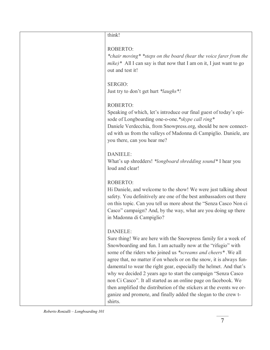| think!                                                                                                                                                                                                                                                                                                                                                                                                                                                                                                                                                                                                                                                       |
|--------------------------------------------------------------------------------------------------------------------------------------------------------------------------------------------------------------------------------------------------------------------------------------------------------------------------------------------------------------------------------------------------------------------------------------------------------------------------------------------------------------------------------------------------------------------------------------------------------------------------------------------------------------|
| <b>ROBERTO:</b><br>*chair moving* *steps on the board (hear the voice farer from the<br>$mike$ All I can say is that now that I am on it, I just want to go<br>out and test it!                                                                                                                                                                                                                                                                                                                                                                                                                                                                              |
| <b>SERGIO:</b><br>Just try to don't get hurt *laughs *!                                                                                                                                                                                                                                                                                                                                                                                                                                                                                                                                                                                                      |
| ROBERTO:<br>Speaking of which, let's introduce our final guest of today's epi-<br>sode of Longboarding one-o-one.*skype call ring*<br>Daniele Verdecchia, from Snowpress.org, should be now connect-<br>ed with us from the valleys of Madonna di Campiglio. Daniele, are<br>you there, can you hear me?                                                                                                                                                                                                                                                                                                                                                     |
| <b>DANIELE:</b><br>What's up shredders! *longboard shredding sound* I hear you<br>loud and clear!                                                                                                                                                                                                                                                                                                                                                                                                                                                                                                                                                            |
| ROBERTO:<br>Hi Daniele, and welcome to the show! We were just talking about<br>safety. You definitively are one of the best ambassadors out there<br>on this topic. Can you tell us more about the "Senza Casco Non ci<br>Casco" campaign? And, by the way, what are you doing up there<br>in Madonna di Campiglio?                                                                                                                                                                                                                                                                                                                                          |
| <b>DANIELE:</b><br>Sure thing! We are here with the Snowpress family for a week of<br>Snowboarding and fun. I am actually now at the "rifugio" with<br>some of the riders who joined us *screams and cheers*. We all<br>agree that, no matter if on wheels or on the snow, it is always fun-<br>damental to wear the right gear, especially the helmet. And that's<br>why we decided 2 years ago to start the campaign "Senza Casco<br>non Ci Casco". It all started as an online page on facebook. We<br>then amplified the distribution of the stickers at the events we or-<br>ganize and promote, and finally added the slogan to the crew t-<br>shirts. |